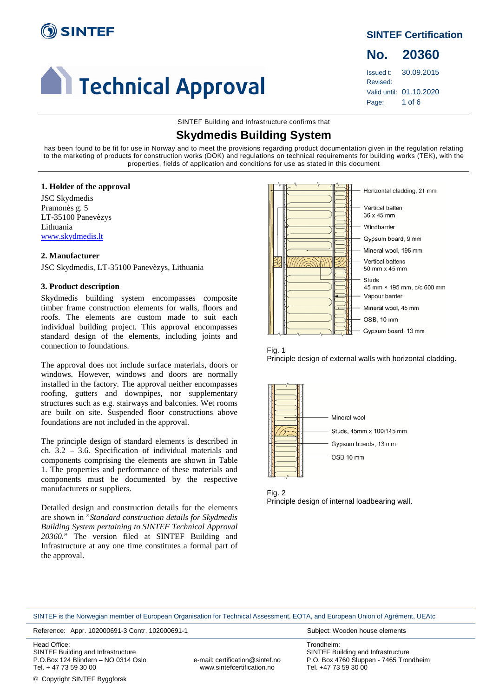

# **Calculate Technical Approval**

## **SINTEF Certification**

**No. 20360** Issued t: 30.09.2015 Revised: Valid until: 01.10.2020

Page: 1 of 6

SINTEF Building and Infrastructure confirms that

## **Skydmedis Building System**

has been found to be fit for use in Norway and to meet the provisions regarding product documentation given in the regulation relating to the marketing of products for construction works (DOK) and regulations on technical requirements for building works (TEK), with the properties, fields of application and conditions for use as stated in this document

## **1. Holder of the approval**

JSC Skydmedis Pramonès g. 5 LT-35100 Panevèzys Lithuania [www.skydmedis.lt](http://www.skydmedis.lt/)

## **2. Manufacturer**

JSC Skydmedis, LT-35100 Panevèzys, Lithuania

## **3. Product description**

Skydmedis building system encompasses composite timber frame construction elements for walls, floors and roofs. The elements are custom made to suit each individual building project. This approval encompasses standard design of the elements, including joints and connection to foundations.

The approval does not include surface materials, doors or windows. However, windows and doors are normally installed in the factory. The approval neither encompasses roofing, gutters and downpipes, nor supplementary structures such as e.g. stairways and balconies. Wet rooms are built on site. Suspended floor constructions above foundations are not included in the approval.

The principle design of standard elements is described in ch. 3.2 – 3.6. Specification of individual materials and components comprising the elements are shown in Table 1. The properties and performance of these materials and components must be documented by the respective manufacturers or suppliers.

Detailed design and construction details for the elements are shown in "*Standard construction details for Skydmedis Building System pertaining to SINTEF Technical Approval 20360.*" The version filed at SINTEF Building and Infrastructure at any one time constitutes a formal part of the approval.





Principle design of external walls with horizontal cladding.



Fig. 2 Principle design of internal loadbearing wall.

SINTEF is the Norwegian member of European Organisation for Technical Assessment, EOTA, and European Union of Agrément, UEAtc

Reference: Appr. 102000691-3 Contr. 102000691-1 Subject: Wooden house elements

Head Office: SINTEF Building and Infrastructure P.O.Box 124 Blindern – NO 0314 Oslo Tel. + 47 73 59 30 00

e-mail: certification@sintef.no www.sintefcertification.no

Trondheim: SINTEF Building and Infrastructure P.O. Box 4760 Sluppen - 7465 Trondheim Tel. +47 73 59 30 00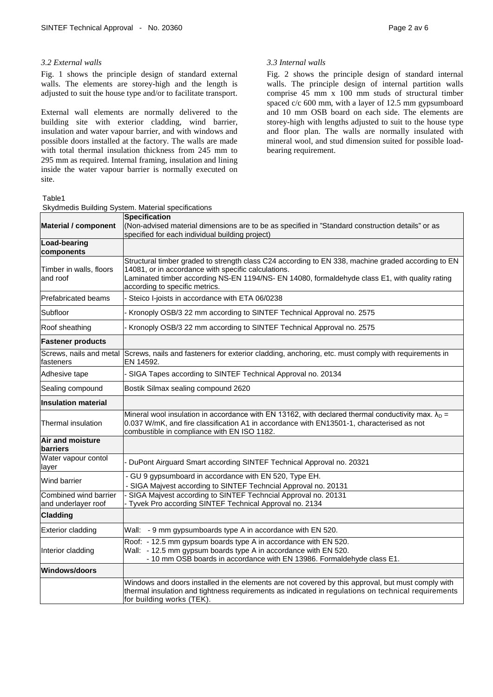## *3.2 External walls*

Fig. 1 shows the principle design of standard external walls. The elements are storey-high and the length is adjusted to suit the house type and/or to facilitate transport.

External wall elements are normally delivered to the building site with exterior cladding, wind barrier, insulation and water vapour barrier, and with windows and possible doors installed at the factory. The walls are made with total thermal insulation thickness from 245 mm to 295 mm as required. Internal framing, insulation and lining inside the water vapour barrier is normally executed on site.

Table1

## Skydmedis Building System. Material specifications

## *3.3 Internal walls*

Fig. 2 shows the principle design of standard internal walls. The principle design of internal partition walls comprise 45 mm x 100 mm studs of structural timber spaced c/c 600 mm, with a layer of 12.5 mm gypsumboard and 10 mm OSB board on each side. The elements are storey-high with lengths adjusted to suit to the house type and floor plan. The walls are normally insulated with mineral wool, and stud dimension suited for possible loadbearing requirement.

| <b>Material / component</b>                  | <b>Specification</b><br>(Non-advised material dimensions are to be as specified in "Standard construction details" or as<br>specified for each individual building project)                                                                                                                   |
|----------------------------------------------|-----------------------------------------------------------------------------------------------------------------------------------------------------------------------------------------------------------------------------------------------------------------------------------------------|
| <b>Load-bearing</b><br>components            |                                                                                                                                                                                                                                                                                               |
| Timber in walls, floors<br>and roof          | Structural timber graded to strength class C24 according to EN 338, machine graded according to EN<br>14081, or in accordance with specific calculations.<br>Laminated timber according NS-EN 1194/NS- EN 14080, formaldehyde class E1, with quality rating<br>according to specific metrics. |
| <b>Prefabricated beams</b>                   | - Steico I-joists in accordance with ETA 06/0238                                                                                                                                                                                                                                              |
| Subfloor                                     | Kronoply OSB/3 22 mm according to SINTEF Technical Approval no. 2575                                                                                                                                                                                                                          |
| Roof sheathing                               | - Kronoply OSB/3 22 mm according to SINTEF Technical Approval no. 2575                                                                                                                                                                                                                        |
| <b>Fastener products</b>                     |                                                                                                                                                                                                                                                                                               |
| Screws, nails and metal<br>fasteners         | Screws, nails and fasteners for exterior cladding, anchoring, etc. must comply with requirements in<br>EN 14592.                                                                                                                                                                              |
| Adhesive tape                                | - SIGA Tapes according to SINTEF Technical Approval no. 20134                                                                                                                                                                                                                                 |
| Sealing compound                             | Bostik Silmax sealing compound 2620                                                                                                                                                                                                                                                           |
| <b>Insulation material</b>                   |                                                                                                                                                                                                                                                                                               |
| Thermal insulation                           | Mineral wool insulation in accordance with EN 13162, with declared thermal conductivity max. $\lambda_D =$<br>0.037 W/mK, and fire classification A1 in accordance with EN13501-1, characterised as not<br>combustible in compliance with EN ISO 1182.                                        |
| Air and moisture<br>barriers                 |                                                                                                                                                                                                                                                                                               |
| Water vapour contol<br>layer                 | DuPont Airguard Smart according SINTEF Technical Approval no. 20321                                                                                                                                                                                                                           |
| Wind barrier                                 | - GU 9 gypsumboard in accordance with EN 520, Type EH.<br>- SIGA Majvest according to SINTEF Techncial Approval no. 20131                                                                                                                                                                     |
| Combined wind barrier<br>and underlayer roof | SIGA Majvest according to SINTEF Techncial Approval no. 20131<br>Tyvek Pro according SINTEF Technical Approval no. 2134                                                                                                                                                                       |
| <b>Cladding</b>                              |                                                                                                                                                                                                                                                                                               |
| <b>Exterior cladding</b>                     | Wall: - 9 mm gypsumboards type A in accordance with EN 520.                                                                                                                                                                                                                                   |
| Interior cladding                            | Roof: - 12.5 mm gypsum boards type A in accordance with EN 520.<br>Wall: - 12.5 mm gypsum boards type A in accordance with EN 520.<br>- 10 mm OSB boards in accordance with EN 13986. Formaldehyde class E1.                                                                                  |
| <b>Windows/doors</b>                         |                                                                                                                                                                                                                                                                                               |
|                                              | Windows and doors installed in the elements are not covered by this approval, but must comply with<br>thermal insulation and tightness requirements as indicated in regulations on technical requirements<br>for building works (TEK).                                                        |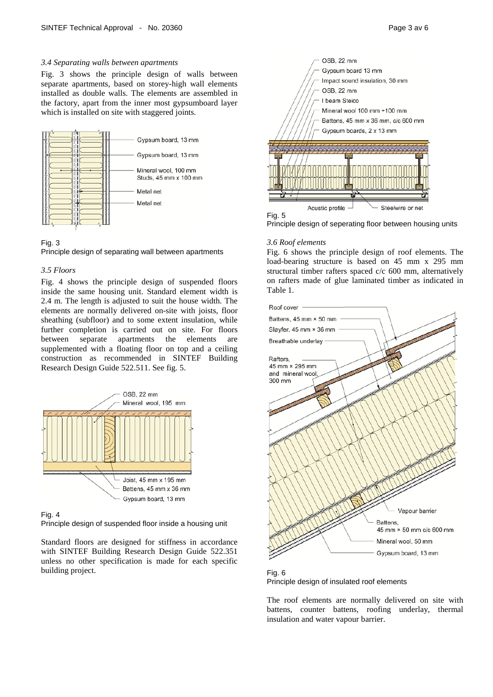### *3.4 Separating walls between apartments*

Fig. 3 shows the principle design of walls between separate apartments, based on storey-high wall elements installed as double walls. The elements are assembled in the factory, apart from the inner most gypsumboard layer which is installed on site with staggered joints.



## Fig. 3

Principle design of separating wall between apartments

#### *3.5 Floors*

Fig. 4 shows the principle design of suspended floors inside the same housing unit. Standard element width is 2.4 m. The length is adjusted to suit the house width. The elements are normally delivered on-site with joists, floor sheathing (subfloor) and to some extent insulation, while further completion is carried out on site. For floors between separate apartments the elements are between separate apartments the elements are supplemented with a floating floor on top and a ceiling construction as recommended in SINTEF Building Research Design Guide 522.511. See fig. 5.



Fig. 4

Principle design of suspended floor inside a housing unit

Standard floors are designed for stiffness in accordance with SINTEF Building Research Design Guide 522.351 unless no other specification is made for each specific building project.



Principle design of seperating floor between housing units

#### *3.6 Roof elements*

Fig. 6 shows the principle design of roof elements. The load-bearing structure is based on 45 mm x 295 mm structural timber rafters spaced c/c 600 mm, alternatively on rafters made of glue laminated timber as indicated in Table 1.



Fig. 6 Principle design of insulated roof elements

The roof elements are normally delivered on site with battens, counter battens, roofing underlay, thermal insulation and water vapour barrier.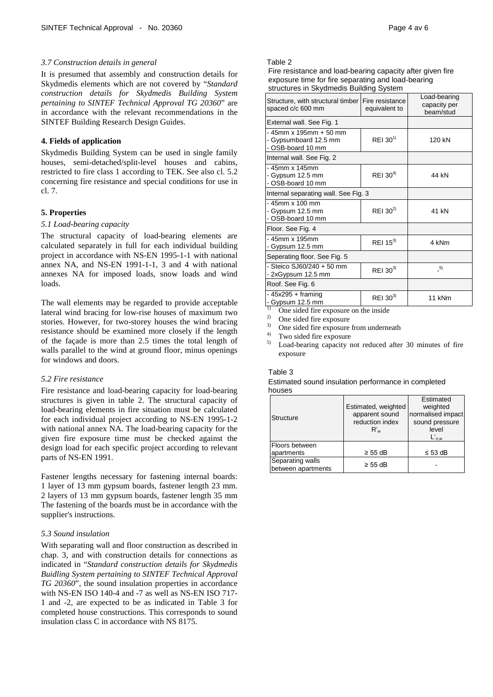#### *3.7 Construction details in general*

It is presumed that assembly and construction details for Skydmedis elements which are not covered by "*Standard construction details for Skydmedis Building System pertaining to SINTEF Technical Approval TG 20360*" are in accordance with the relevant recommendations in the SINTEF Building Research Design Guides.

### **4. Fields of application**

Skydmedis Building System can be used in single family houses, semi-detached/split-level houses and cabins, restricted to fire class 1 according to TEK. See also cl. 5.2 concerning fire resistance and special conditions for use in cl. 7.

#### **5. Properties**

#### *5.1 Load-bearing capacity*

The structural capacity of load-bearing elements are calculated separately in full for each individual building project in accordance with NS-EN 1995-1-1 with national annex NA, and NS-EN 1991-1-1, 3 and 4 with national annexes NA for imposed loads, snow loads and wind loads.

The wall elements may be regarded to provide acceptable lateral wind bracing for low-rise houses of maximum two stories. However, for two-storey houses the wind bracing resistance should be examined more closely if the length of the façade is more than 2.5 times the total length of walls parallel to the wind at ground floor, minus openings for windows and doors.

## *5.2 Fire resistance*

Fire resistance and load-bearing capacity for load-bearing structures is given in table 2. The structural capacity of load-bearing elements in fire situation must be calculated for each individual project according to NS-EN 1995-1-2 with national annex NA. The load-bearing capacity for the given fire exposure time must be checked against the design load for each specific project according to relevant parts of NS-EN 1991.

Fastener lengths necessary for fastening internal boards: 1 layer of 13 mm gypsum boards, fastener length 23 mm. 2 layers of 13 mm gypsum boards, fastener length 35 mm The fastening of the boards must be in accordance with the supplier's instructions.

#### *5.3 Sound insulation*

With separating wall and floor construction as described in chap. 3, and with construction details for connections as indicated in "*Standard construction details for Skydmedis Buidling System pertaining to SINTEF Technical Approval TG 20360*", the sound insulation properties in accordance with NS-EN ISO 140-4 and -7 as well as NS-EN ISO 717- 1 and -2, are expected to be as indicated in Table 3 for completed house constructions. This corresponds to sound insulation class C in accordance with NS 8175.

#### Table 2

Fire resistance and load-bearing capacity after given fire exposure time for fire separating and load-bearing structures in Skydmedis Building System

| Structure, with structural timber Fire resistance<br>spaced c/c 600 mm  | equivalent to        | Load-bearing<br>capacity per<br>beam/stud |
|-------------------------------------------------------------------------|----------------------|-------------------------------------------|
| External wall. See Fig. 1                                               |                      |                                           |
| $-45$ mm x 195mm $+50$ mm<br>- Gypsumboard 12.5 mm<br>- OSB-board 10 mm | REI 30 <sup>1)</sup> | 120 kN                                    |
| Internal wall. See Fig. 2                                               |                      |                                           |
| - 45mm x 145mm<br>- Gypsum 12.5 mm<br>- OSB-board 10 mm                 | REI $30^{4}$         | 44 kN                                     |
| Internal separating wall. See Fig. 3                                    |                      |                                           |
| - 45mm x 100 mm<br>- Gypsum 12.5 mm<br>- OSB-board 10 mm                | REI 30 <sup>2)</sup> | 41 kN                                     |
| Floor. See Fig. 4                                                       |                      |                                           |
| - 45mm x 195mm<br>- Gypsum 12.5 mm                                      | REI $15^{3}$         | 4 kNm                                     |
| Seperating floor. See Fig. 5                                            |                      |                                           |
| - Steico SJ60/240 + 50 mm<br>- 2xGypsum 12.5 mm                         | REI $30^{3}$         | 5)                                        |
| Roof. See Fig. 6                                                        |                      |                                           |
| $-45x295 +$ framing<br>- Gypsum 12.5 mm                                 | REI $30^{3}$         | 11 kNm                                    |

<sup>1)</sup> One sided fire exposure on the inside

- <sup>2)</sup> One sided fire exposure
- $\frac{3}{4}$  One sided fire exposure from underneath
- $^{4)}$  Two sided fire exposure
- 5) Load-bearing capacity not reduced after 30 minutes of fire exposure

#### Table 3

Estimated sound insulation performance in completed houses

| Structure                              | Estimated, weighted<br>apparent sound<br>reduction index<br>R'w | Estimated<br>weighted<br>normalised impact<br>sound pressure<br>level<br>$L_{\text{n.w}}'$ |
|----------------------------------------|-----------------------------------------------------------------|--------------------------------------------------------------------------------------------|
| Floors between                         |                                                                 |                                                                                            |
| apartments                             | $\geq$ 55 dB                                                    | $\leq$ 53 dB                                                                               |
| Separating walls<br>between apartments | $\geq$ 55 dB                                                    |                                                                                            |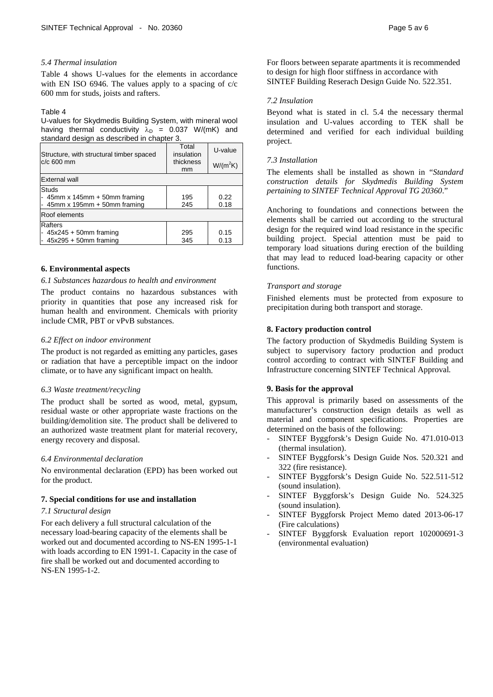#### *5.4 Thermal insulation*

Table 4 shows U-values for the elements in accordance with EN ISO 6946. The values apply to a spacing of c/c 600 mm for studs, joists and rafters.

#### Table 4

U-values for Skydmedis Building System, with mineral wool having thermal conductivity  $\lambda_D = 0.037$  W/(mK) and standard design as described in chapter 3.

| Structure, with structural timber spaced<br>$c/c$ 600 mm | Total<br>insulation<br>thickness<br>mm | U-value<br>$W/(m^2K)$ |  |  |
|----------------------------------------------------------|----------------------------------------|-----------------------|--|--|
| <b>External wall</b>                                     |                                        |                       |  |  |
|                                                          |                                        |                       |  |  |
| <b>Studs</b>                                             |                                        |                       |  |  |
| $-45$ mm x 145mm $+50$ mm framing                        | 195                                    | 0.22                  |  |  |
| - $45$ mm x 195mm + 50mm framing                         | 245                                    | 0.18                  |  |  |
| Roof elements                                            |                                        |                       |  |  |
| Rafters                                                  |                                        |                       |  |  |
| $-45x245 + 50$ mm framing                                | 295                                    | 0.15                  |  |  |
| $-45x295 + 50$ mm framing                                | 345                                    | 0.13                  |  |  |

#### **6. Environmental aspects**

#### *6.1 Substances hazardous to health and environment*

The product contains no hazardous substances with priority in quantities that pose any increased risk for human health and environment. Chemicals with priority include CMR, PBT or vPvB substances.

#### *6.2 Effect on indoor environment*

The product is not regarded as emitting any particles, gases or radiation that have a perceptible impact on the indoor climate, or to have any significant impact on health.

#### *6.3 Waste treatment/recycling*

The product shall be sorted as wood, metal, gypsum, residual waste or other appropriate waste fractions on the building/demolition site. The product shall be delivered to an authorized waste treatment plant for material recovery, energy recovery and disposal.

#### *6.4 Environmental declaration*

No environmental declaration (EPD) has been worked out for the product.

#### **7. Special conditions for use and installation**

#### *7.1 Structural design*

For each delivery a full structural calculation of the necessary load-bearing capacity of the elements shall be worked out and documented according to NS-EN 1995-1-1 with loads according to EN 1991-1. Capacity in the case of fire shall be worked out and documented according to NS-EN 1995-1-2.

For floors between separate apartments it is recommended to design for high floor stiffness in accordance with SINTEF Building Reserach Design Guide No. 522.351.

#### *7.2 Insulation*

Beyond what is stated in cl. 5.4 the necessary thermal insulation and U-values according to TEK shall be determined and verified for each individual building project.

#### *7.3 Installation*

The elements shall be installed as shown in "*Standard construction details for Skydmedis Building System pertaining to SINTEF Technical Approval TG 20360*."

Anchoring to foundations and connections between the elements shall be carried out according to the structural design for the required wind load resistance in the specific building project. Special attention must be paid to temporary load situations during erection of the building that may lead to reduced load-bearing capacity or other functions.

#### *Transport and storage*

Finished elements must be protected from exposure to precipitation during both transport and storage.

#### **8. Factory production control**

The factory production of Skydmedis Building System is subject to supervisory factory production and product control according to contract with SINTEF Building and Infrastructure concerning SINTEF Technical Approval*.*

#### **9. Basis for the approval**

This approval is primarily based on assessments of the manufacturer's construction design details as well as material and component specifications. Properties are determined on the basis of the following:

- SINTEF Byggforsk's Design Guide No. 471.010-013 (thermal insulation).
- SINTEF Byggforsk's Design Guide Nos. 520.321 and 322 (fire resistance).
- SINTEF Byggforsk's Design Guide No. 522.511-512 (sound insulation).
- SINTEF Byggforsk's Design Guide No. 524.325 (sound insulation).
- SINTEF Byggforsk Project Memo dated 2013-06-17 (Fire calculations)
- SINTEF Byggforsk Evaluation report 102000691-3 (environmental evaluation)